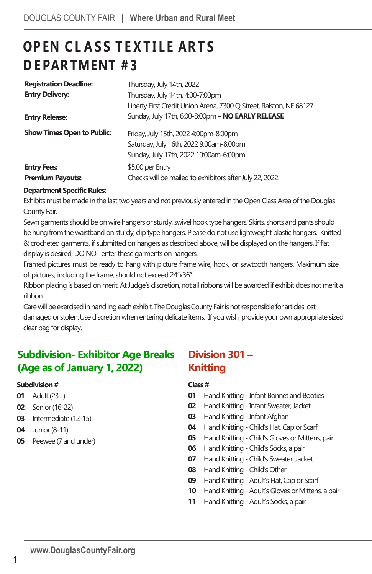# **OP EN C L A S S T E X T I L E AR T S D E PAR TMENT # 3**

| <b>Registration Deadline:</b>     | Thursday, July 14th, 2022                                          |
|-----------------------------------|--------------------------------------------------------------------|
| <b>Entry Delivery:</b>            | Thursday, July 14th, 4:00-7:00pm                                   |
|                                   | Liberty First Credit Union Arena, 7300 Q Street, Ralston, NE 68127 |
| <b>Entry Release:</b>             | Sunday, July 17th, 6:00-8:00pm - NO EARLY RELEASE                  |
| <b>Show Times Open to Public:</b> | Friday, July 15th, 2022 4:00pm-8:00pm                              |
|                                   | Saturday, July 16th, 2022 9:00am-8:00pm                            |
|                                   | Sunday, July 17th, 2022 10:00am-6:00pm                             |
| <b>Entry Fees:</b>                | \$5.00 per Entry                                                   |
| <b>Premium Payouts:</b>           | Checks will be mailed to exhibitors after July 22, 2022.           |

## **Department Specific Rules:**

Exhibits must be made in the last two years and not previously entered in the Open Class Area of the Douglas County Fair.

Sewn garments should be on wire hangers or sturdy, swivel hook type hangers. Skirts, shorts and pants should be hung fromthe waistband on sturdy, clip type hangers. Please do not use lightweight plastic hangers. Knitted & crocheted garments, if submitted on hangers as described above, will be displayed on the hangers. If flat display is desired, DO NOT enter these garments on hangers.

Framed pictures must be ready to hang with picture frame wire, hook, or sawtooth hangers. Maximum size of pictures, including the frame, should not exceed 24"x36".

Ribbon placing is based on merit. At Judge's discretion, not all ribbons will be awarded if exhibit does not merit a ribbon.

Care will be exercised in handling each exhibit. The Douglas County Fair is not responsible for articles lost, damaged or stolen.Use discretion when entering delicate items. If you wish, provide your own appropriate sized clear bag for display.

## **Subdivision- Exhibitor Age Breaks (Age as of January 1, 2022)**

### **Subdivision #**

- **01** Adult (23+)
- **02** Senior (16-22)
- **03** Intermediate (12-15)
- **04** Junior (8-11)
- **05** Peewee (7 and under)

## **Division 301 – Knitting**

### **Class #**

- **01** Hand Knitting Infant Bonnet and Booties
- **02** Hand Knitting Infant Sweater, Jacket
- **03** Hand Knitting Infant Afghan
- **04** Hand Knitting -Child's Hat, Cap or Scarf
- **05** Hand Knitting -Child's Gloves or Mittens, pair
- **06** Hand Knitting -Child's Socks, a pair
- **07** Hand Knitting -Child's Sweater, Jacket
- **08** Hand Knitting -Child's Other
- **09** Hand Knitting Adult's Hat, Cap or Scarf
- **10** Hand Knitting Adult's Gloves or Mittens, a pair
- **11** Hand Knitting Adult's Socks, a pair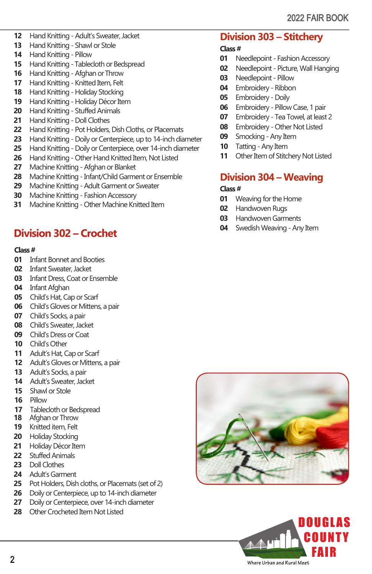- Hand Knitting Adult's Sweater, Jacket
- Hand Knitting Shawl or Stole
- Hand Knitting Pillow
- Hand Knitting -Tablecloth or Bedspread
- Hand Knitting Afghan or Throw
- Hand Knitting Knitted Item, Felt
- Hand Knitting Holiday Stocking
- Hand Knitting Holiday Décor Item
- Hand Knitting Stuffed Animals
- Hand Knitting Doll Clothes
- Hand Knitting- Pot Holders, Dish Cloths, or Placemats
- Hand Knitting Doily or Centerpiece, up to 14-inch diameter
- Hand Knitting Doily or Centerpiece, over 14-inch diameter
- Hand Knitting Other Hand Knitted Item, Not Listed
- Machine Knitting Afghan or Blanket
- Machine Knitting Infant/Child Garment or Ensemble
- Machine Knitting Adult Garment or Sweater
- Machine Knitting Fashion Accessory
- Machine Knitting Other Machine Knitted Item

## **Division 302 – Crochet**

### **Class #**

- Infant Bonnet and Booties
- Infant Sweater, Jacket
- Infant Dress, Coat or Ensemble
- Infant Afghan
- Child's Hat, Cap or Scarf
- Child's Gloves or Mittens, a pair
- Child's Socks, a pair
- Child's Sweater, Jacket
- Child's Dress or Coat
- Child's Other
- Adult's Hat, Cap or Scarf
- Adult's Gloves or Mittens, a pair
- Adult's Socks, a pair
- Adult's Sweater, Jacket
- Shawl or Stole
- Pillow
- Tablecloth or Bedspread
- Afghan or Throw
- Knitted item, Felt
- Holiday Stocking
- Holiday Décor Item
- Stuffed Animals
- Doll Clothes
- Adult's Garment
- Pot Holders, Dish cloths, or Placemats (set of 2)
- Doily or Centerpiece, up to 14-inch diameter
- Doily or Centerpiece, over 14-inch diameter
- 28 Other Crocheted Item Not Listed

## **Division 303 – Stitchery**

### **Class #**

- Needlepoint Fashion Accessory
- Needlepoint Picture, Wall Hanging
- Needlepoint Pillow
- Embroidery Ribbon
- Embroidery Doily
- Embroidery Pillow Case, 1 pair
- Embroidery Tea Towel, at least 2
- Embroidery Other Not Listed
- Smocking Any Item
- Tatting Any Item
- Other Item of Stitchery Not Listed

## **Division 304 – Weaving**

### **Class #**

- Weaving for the Home
- Handwoven Rugs
- Handwoven Garments
- Swedish Weaving Any Item